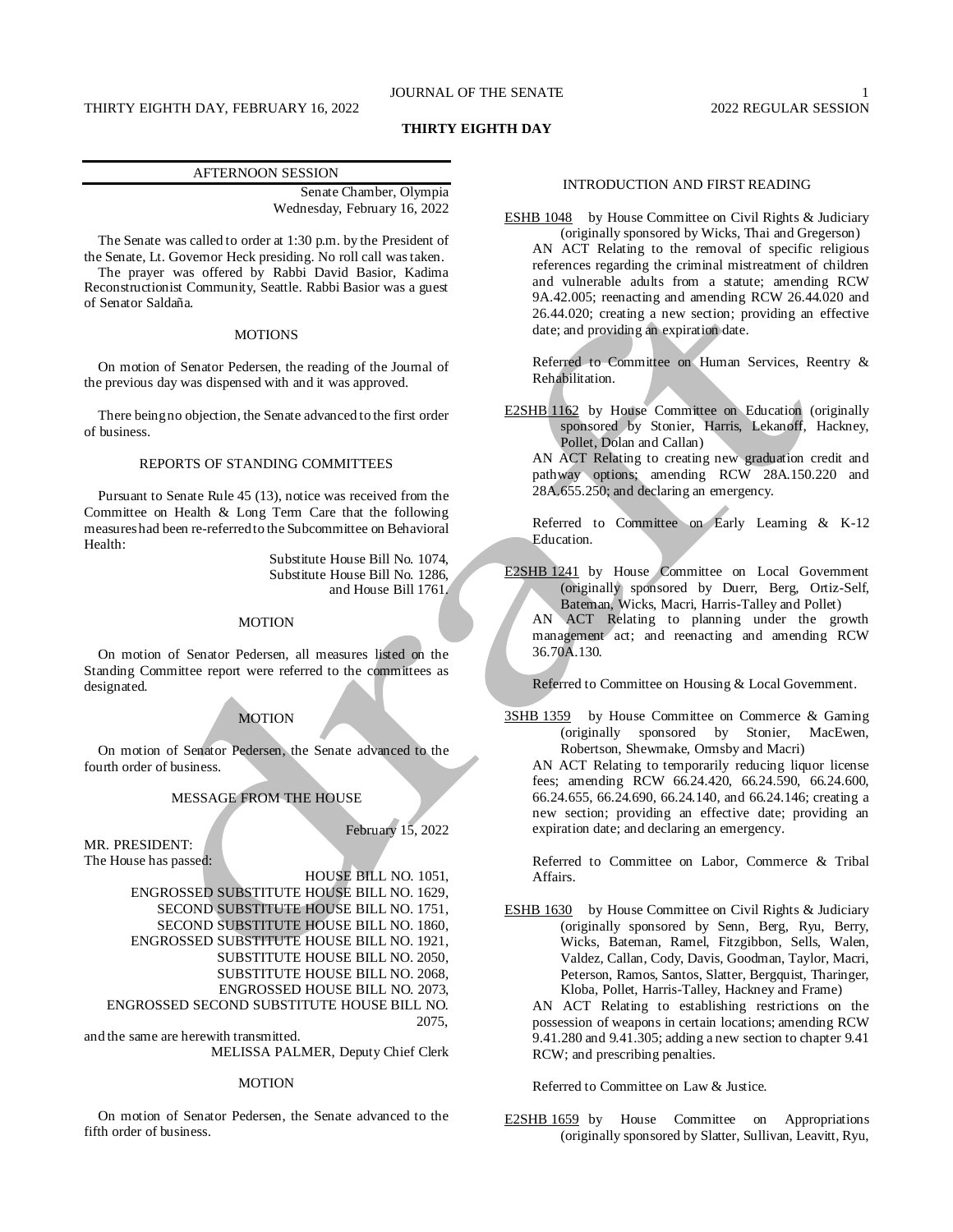# JOURNAL OF THE SENATE

# THIRTY EIGHTH DAY, FEBRUARY 16, 2022 2022 2022 2022 2022 REGULAR SESSION

# **THIRTY EIGHTH DAY**

# AFTERNOON SESSION

Senate Chamber, Olympia Wednesday, February 16, 2022

The Senate was called to order at 1:30 p.m. by the President of the Senate, Lt. Governor Heck presiding. No roll call was taken.

The prayer was offered by Rabbi David Basior, Kadima Reconstructionist Community, Seattle. Rabbi Basior was a guest of Senator Saldaña.

# MOTIONS

On motion of Senator Pedersen, the reading of the Journal of the previous day was dispensed with and it was approved.

There being no objection, the Senate advanced to the first order of business.

# REPORTS OF STANDING COMMITTEES

Pursuant to Senate Rule 45 (13), notice was received from the Committee on Health & Long Term Care that the following measures had been re-referred to the Subcommittee on Behavioral Health:

> Substitute House Bill No. 1074, Substitute House Bill No. 1286, and House Bill 1761.

# MOTION

On motion of Senator Pedersen, all measures listed on the Standing Committee report were referred to the committees as designated.

# MOTION

On motion of Senator Pedersen, the Senate advanced to the fourth order of business.

# MESSAGE FROM THE HOUSE

February 15, 2022

MR. PRESIDENT: The House has passed:

HOUSE BILL NO. 1051, ENGROSSED SUBSTITUTE HOUSE BILL NO. 1629, SECOND SUBSTITUTE HOUSE BILL NO. 1751, SECOND SUBSTITUTE HOUSE BILL NO. 1860, ENGROSSED SUBSTITUTE HOUSE BILL NO. 1921, SUBSTITUTE HOUSE BILL NO. 2050, SUBSTITUTE HOUSE BILL NO. 2068, ENGROSSED HOUSE BILL NO. 2073, ENGROSSED SECOND SUBSTITUTE HOUSE BILL NO. 2075,

and the same are herewith transmitted. MELISSA PALMER, Deputy Chief Clerk

#### MOTION

On motion of Senator Pedersen, the Senate advanced to the fifth order of business.

# INTRODUCTION AND FIRST READING

ESHB 1048 by House Committee on Civil Rights & Judiciary (originally sponsored by Wicks, Thai and Gregerson) AN ACT Relating to the removal of specific religious references regarding the criminal mistreatment of children and vulnerable adults from a statute; amending RCW 9A.42.005; reenacting and amending RCW 26.44.020 and 26.44.020; creating a new section; providing an effective date; and providing an expiration date.

Referred to Committee on Human Services, Reentry & Rehabilitation.

E2SHB 1162 by House Committee on Education (originally sponsored by Stonier, Harris, Lekanoff, Hackney, Pollet, Dolan and Callan)

AN ACT Relating to creating new graduation credit and pathway options; amending RCW 28A.150.220 and 28A.655.250; and declaring an emergency.

Referred to Committee on Early Learning & K-12 Education.

E2SHB 1241 by House Committee on Local Government (originally sponsored by Duerr, Berg, Ortiz-Self, Bateman, Wicks, Macri, Harris-Talley and Pollet) AN ACT Relating to planning under the growth management act; and reenacting and amending RCW 36.70A.130.

Referred to Committee on Housing & Local Government.

3SHB 1359 by House Committee on Commerce & Gaming (originally sponsored by Stonier, MacEwen, Robertson, Shewmake, Ormsby and Macri)

AN ACT Relating to temporarily reducing liquor license fees; amending RCW 66.24.420, 66.24.590, 66.24.600, 66.24.655, 66.24.690, 66.24.140, and 66.24.146; creating a new section; providing an effective date; providing an expiration date; and declaring an emergency.

Referred to Committee on Labor, Commerce & Tribal Affairs.

ESHB 1630 by House Committee on Civil Rights & Judiciary (originally sponsored by Senn, Berg, Ryu, Berry, Wicks, Bateman, Ramel, Fitzgibbon, Sells, Walen, Valdez, Callan, Cody, Davis, Goodman, Taylor, Macri, Peterson, Ramos, Santos, Slatter, Bergquist, Tharinger, Kloba, Pollet, Harris-Talley, Hackney and Frame)

AN ACT Relating to establishing restrictions on the possession of weapons in certain locations; amending RCW 9.41.280 and 9.41.305; adding a new section to chapter 9.41 RCW; and prescribing penalties.

Referred to Committee on Law & Justice.

E2SHB 1659 by House Committee on Appropriations (originally sponsored by Slatter, Sullivan, Leavitt, Ryu,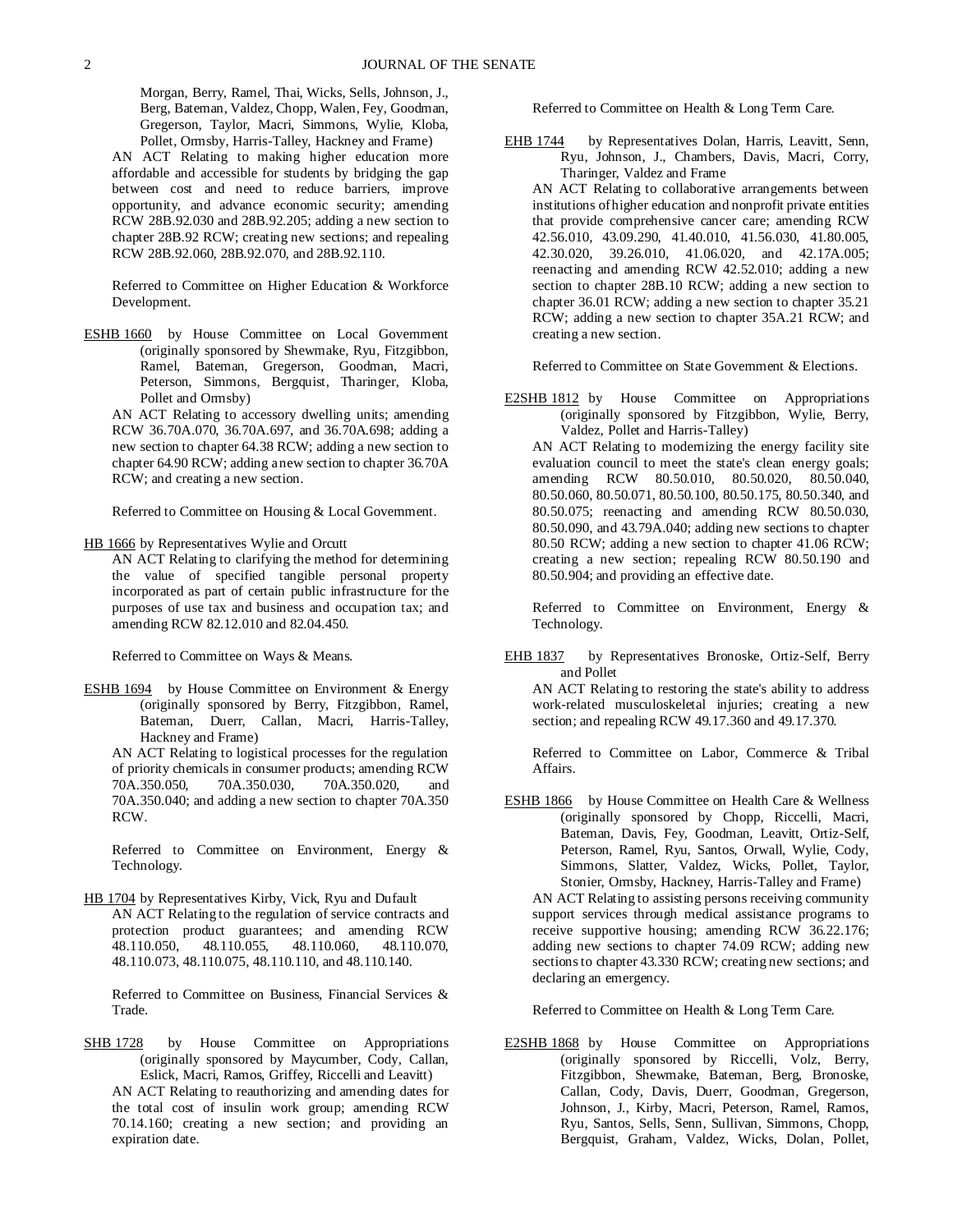Morgan, Berry, Ramel, Thai, Wicks, Sells, Johnson, J., Berg, Bateman, Valdez, Chopp, Walen, Fey, Goodman, Gregerson, Taylor, Macri, Simmons, Wylie, Kloba, Pollet, Ormsby, Harris-Talley, Hackney and Frame)

AN ACT Relating to making higher education more affordable and accessible for students by bridging the gap between cost and need to reduce barriers, improve opportunity, and advance economic security; amending RCW 28B.92.030 and 28B.92.205; adding a new section to chapter 28B.92 RCW; creating new sections; and repealing RCW 28B.92.060, 28B.92.070, and 28B.92.110.

Referred to Committee on Higher Education & Workforce Development.

ESHB 1660 by House Committee on Local Government (originally sponsored by Shewmake, Ryu, Fitzgibbon, Ramel, Bateman, Gregerson, Goodman, Macri, Peterson, Simmons, Bergquist, Tharinger, Kloba, Pollet and Ormsby)

AN ACT Relating to accessory dwelling units; amending RCW 36.70A.070, 36.70A.697, and 36.70A.698; adding a new section to chapter 64.38 RCW; adding a new section to chapter 64.90 RCW; adding a new section to chapter 36.70A RCW; and creating a new section.

Referred to Committee on Housing & Local Government.

HB 1666 by Representatives Wylie and Orcutt

AN ACT Relating to clarifying the method for determining the value of specified tangible personal property incorporated as part of certain public infrastructure for the purposes of use tax and business and occupation tax; and amending RCW 82.12.010 and 82.04.450.

Referred to Committee on Ways & Means.

ESHB 1694 by House Committee on Environment & Energy (originally sponsored by Berry, Fitzgibbon, Ramel, Bateman, Duerr, Callan, Macri, Harris-Talley, Hackney and Frame)

AN ACT Relating to logistical processes for the regulation of priority chemicals in consumer products; amending RCW 70A.350.050, 70A.350.030, 70A.350.020, and 70A.350.040; and adding a new section to chapter 70A.350 RCW.

Referred to Committee on Environment, Energy & Technology.

HB 1704 by Representatives Kirby, Vick, Ryu and Dufault AN ACT Relating to the regulation of service contracts and protection product guarantees; and amending RCW 48.110.050, 48.110.055, 48.110.060, 48.110.070, 48.110.073, 48.110.075, 48.110.110, and 48.110.140.

Referred to Committee on Business, Financial Services & Trade.

SHB 1728 by House Committee on Appropriations (originally sponsored by Maycumber, Cody, Callan, Eslick, Macri, Ramos, Griffey, Riccelli and Leavitt) AN ACT Relating to reauthorizing and amending dates for the total cost of insulin work group; amending RCW 70.14.160; creating a new section; and providing an expiration date.

Referred to Committee on Health & Long Term Care.

- EHB 1744 by Representatives Dolan, Harris, Leavitt, Senn, Ryu, Johnson, J., Chambers, Davis, Macri, Corry, Tharinger, Valdez and Frame
	- AN ACT Relating to collaborative arrangements between institutions of higher education and nonprofit private entities that provide comprehensive cancer care; amending RCW 42.56.010, 43.09.290, 41.40.010, 41.56.030, 41.80.005, 42.30.020, 39.26.010, 41.06.020, and 42.17A.005; reenacting and amending RCW 42.52.010; adding a new section to chapter 28B.10 RCW; adding a new section to chapter 36.01 RCW; adding a new section to chapter 35.21 RCW; adding a new section to chapter 35A.21 RCW; and creating a new section.

Referred to Committee on State Government & Elections.

E2SHB 1812 by House Committee on Appropriations (originally sponsored by Fitzgibbon, Wylie, Berry, Valdez, Pollet and Harris-Talley)

AN ACT Relating to modernizing the energy facility site evaluation council to meet the state's clean energy goals; amending RCW 80.50.010, 80.50.020, 80.50.040, 80.50.060, 80.50.071, 80.50.100, 80.50.175, 80.50.340, and 80.50.075; reenacting and amending RCW 80.50.030, 80.50.090, and 43.79A.040; adding new sections to chapter 80.50 RCW; adding a new section to chapter 41.06 RCW; creating a new section; repealing RCW 80.50.190 and 80.50.904; and providing an effective date.

Referred to Committee on Environment, Energy & Technology.

EHB 1837 by Representatives Bronoske, Ortiz-Self, Berry and Pollet

AN ACT Relating to restoring the state's ability to address work-related musculoskeletal injuries; creating a new section; and repealing RCW 49.17.360 and 49.17.370.

Referred to Committee on Labor, Commerce & Tribal Affairs.

ESHB 1866 by House Committee on Health Care & Wellness (originally sponsored by Chopp, Riccelli, Macri, Bateman, Davis, Fey, Goodman, Leavitt, Ortiz-Self, Peterson, Ramel, Ryu, Santos, Orwall, Wylie, Cody, Simmons, Slatter, Valdez, Wicks, Pollet, Taylor, Stonier, Ormsby, Hackney, Harris-Talley and Frame) AN ACT Relating to assisting persons receiving community support services through medical assistance programs to receive supportive housing; amending RCW 36.22.176; adding new sections to chapter 74.09 RCW; adding new sections to chapter 43.330 RCW; creating new sections; and declaring an emergency.

Referred to Committee on Health & Long Term Care.

E2SHB 1868 by House Committee on Appropriations (originally sponsored by Riccelli, Volz, Berry, Fitzgibbon, Shewmake, Bateman, Berg, Bronoske, Callan, Cody, Davis, Duerr, Goodman, Gregerson, Johnson, J., Kirby, Macri, Peterson, Ramel, Ramos, Ryu, Santos, Sells, Senn, Sullivan, Simmons, Chopp, Bergquist, Graham, Valdez, Wicks, Dolan, Pollet,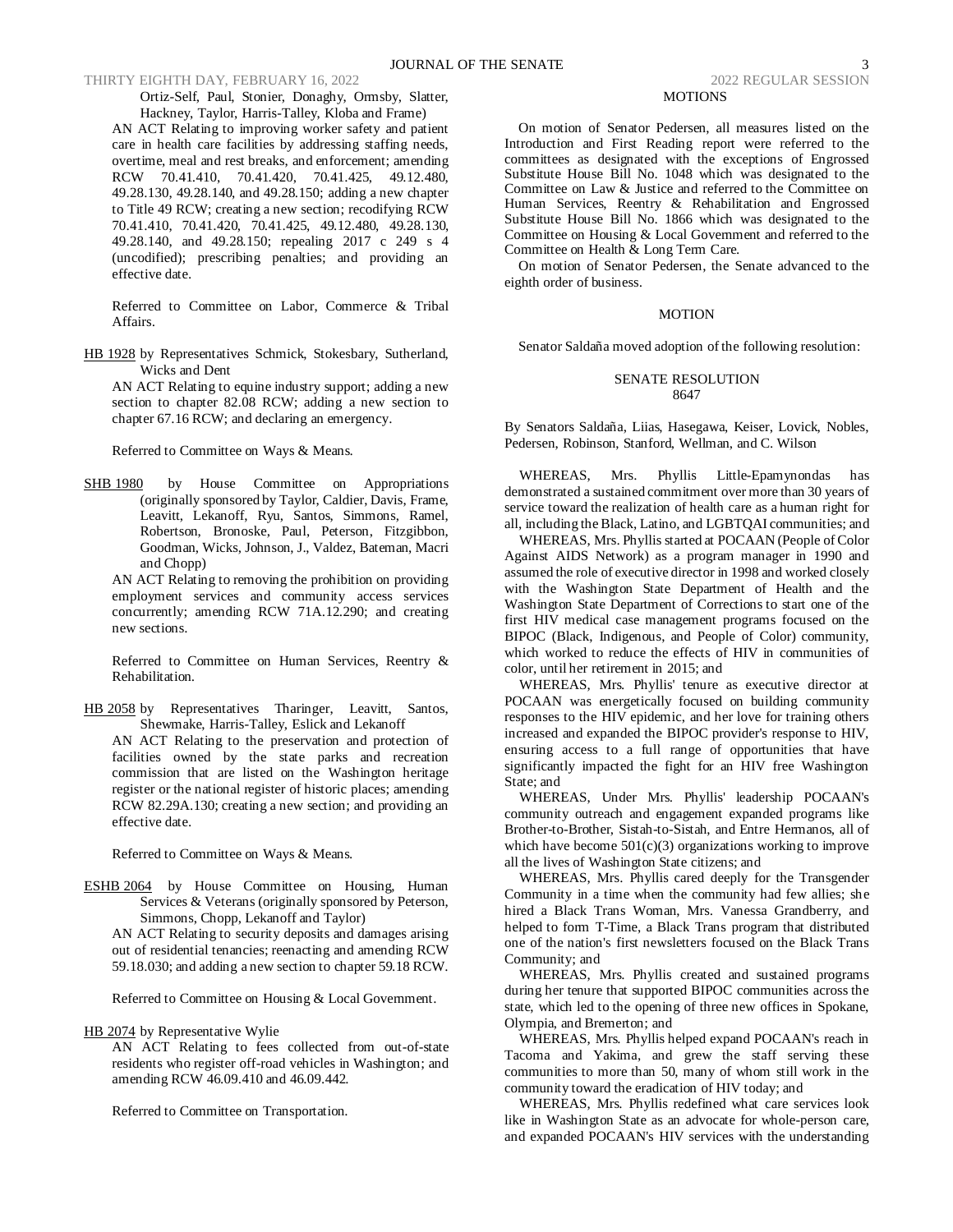THIRTY EIGHTH DAY, FEBRUARY 16, 2022 2022 2022 2022 2022 REGULAR SESSION

Ortiz-Self, Paul, Stonier, Donaghy, Ormsby, Slatter, Hackney, Taylor, Harris-Talley, Kloba and Frame)

AN ACT Relating to improving worker safety and patient care in health care facilities by addressing staffing needs, overtime, meal and rest breaks, and enforcement; amending RCW 70.41.410, 70.41.420, 70.41.425, 49.12.480, 49.28.130, 49.28.140, and 49.28.150; adding a new chapter to Title 49 RCW; creating a new section; recodifying RCW 70.41.410, 70.41.420, 70.41.425, 49.12.480, 49.28.130, 49.28.140, and 49.28.150; repealing 2017 c 249 s 4 (uncodified); prescribing penalties; and providing an effective date.

Referred to Committee on Labor, Commerce & Tribal Affairs.

HB 1928 by Representatives Schmick, Stokesbary, Sutherland, Wicks and Dent

AN ACT Relating to equine industry support; adding a new section to chapter 82.08 RCW; adding a new section to chapter 67.16 RCW; and declaring an emergency.

Referred to Committee on Ways & Means.

SHB 1980 by House Committee on Appropriations (originally sponsored by Taylor, Caldier, Davis, Frame, Leavitt, Lekanoff, Ryu, Santos, Simmons, Ramel, Robertson, Bronoske, Paul, Peterson, Fitzgibbon, Goodman, Wicks, Johnson, J., Valdez, Bateman, Macri and Chopp)

AN ACT Relating to removing the prohibition on providing employment services and community access services concurrently; amending RCW 71A.12.290; and creating new sections.

Referred to Committee on Human Services, Reentry & Rehabilitation.

HB 2058 by Representatives Tharinger, Leavitt, Santos, Shewmake, Harris-Talley, Eslick and Lekanoff

AN ACT Relating to the preservation and protection of facilities owned by the state parks and recreation commission that are listed on the Washington heritage register or the national register of historic places; amending RCW 82.29A.130; creating a new section; and providing an effective date.

Referred to Committee on Ways & Means.

ESHB 2064 by House Committee on Housing, Human Services & Veterans (originally sponsored by Peterson, Simmons, Chopp, Lekanoff and Taylor)

AN ACT Relating to security deposits and damages arising out of residential tenancies; reenacting and amending RCW 59.18.030; and adding a new section to chapter 59.18 RCW.

Referred to Committee on Housing & Local Government.

HB 2074 by Representative Wylie

AN ACT Relating to fees collected from out-of-state residents who register off-road vehicles in Washington; and amending RCW 46.09.410 and 46.09.442.

Referred to Committee on Transportation.

# MOTIONS

On motion of Senator Pedersen, all measures listed on the Introduction and First Reading report were referred to the committees as designated with the exceptions of Engrossed Substitute House Bill No. 1048 which was designated to the Committee on Law & Justice and referred to the Committee on Human Services, Reentry & Rehabilitation and Engrossed Substitute House Bill No. 1866 which was designated to the Committee on Housing & Local Government and referred to the Committee on Health & Long Term Care.

On motion of Senator Pedersen, the Senate advanced to the eighth order of business.

# MOTION

Senator Saldaña moved adoption of the following resolution:

# SENATE RESOLUTION 8647

By Senators Saldaña, Liias, Hasegawa, Keiser, Lovick, Nobles, Pedersen, Robinson, Stanford, Wellman, and C. Wilson

WHEREAS, Mrs. Phyllis Little-Epamynondas has demonstrated a sustained commitment over more than 30 years of service toward the realization of health care as a human right for all, including the Black, Latino, and LGBTQAI communities; and

WHEREAS, Mrs. Phyllis started at POCAAN (People of Color Against AIDS Network) as a program manager in 1990 and assumed the role of executive director in 1998 and worked closely with the Washington State Department of Health and the Washington State Department of Corrections to start one of the first HIV medical case management programs focused on the BIPOC (Black, Indigenous, and People of Color) community, which worked to reduce the effects of HIV in communities of color, until her retirement in 2015; and

WHEREAS, Mrs. Phyllis' tenure as executive director at POCAAN was energetically focused on building community responses to the HIV epidemic, and her love for training others increased and expanded the BIPOC provider's response to HIV, ensuring access to a full range of opportunities that have significantly impacted the fight for an HIV free Washington State; and

WHEREAS, Under Mrs. Phyllis' leadership POCAAN's community outreach and engagement expanded programs like Brother-to-Brother, Sistah-to-Sistah, and Entre Hermanos, all of which have become  $501(c)(3)$  organizations working to improve all the lives of Washington State citizens; and

WHEREAS, Mrs. Phyllis cared deeply for the Transgender Community in a time when the community had few allies; she hired a Black Trans Woman, Mrs. Vanessa Grandberry, and helped to form T-Time, a Black Trans program that distributed one of the nation's first newsletters focused on the Black Trans Community; and

WHEREAS, Mrs. Phyllis created and sustained programs during her tenure that supported BIPOC communities across the state, which led to the opening of three new offices in Spokane, Olympia, and Bremerton; and

WHEREAS, Mrs. Phyllis helped expand POCAAN's reach in Tacoma and Yakima, and grew the staff serving these communities to more than 50, many of whom still work in the community toward the eradication of HIV today; and

WHEREAS, Mrs. Phyllis redefined what care services look like in Washington State as an advocate for whole-person care, and expanded POCAAN's HIV services with the understanding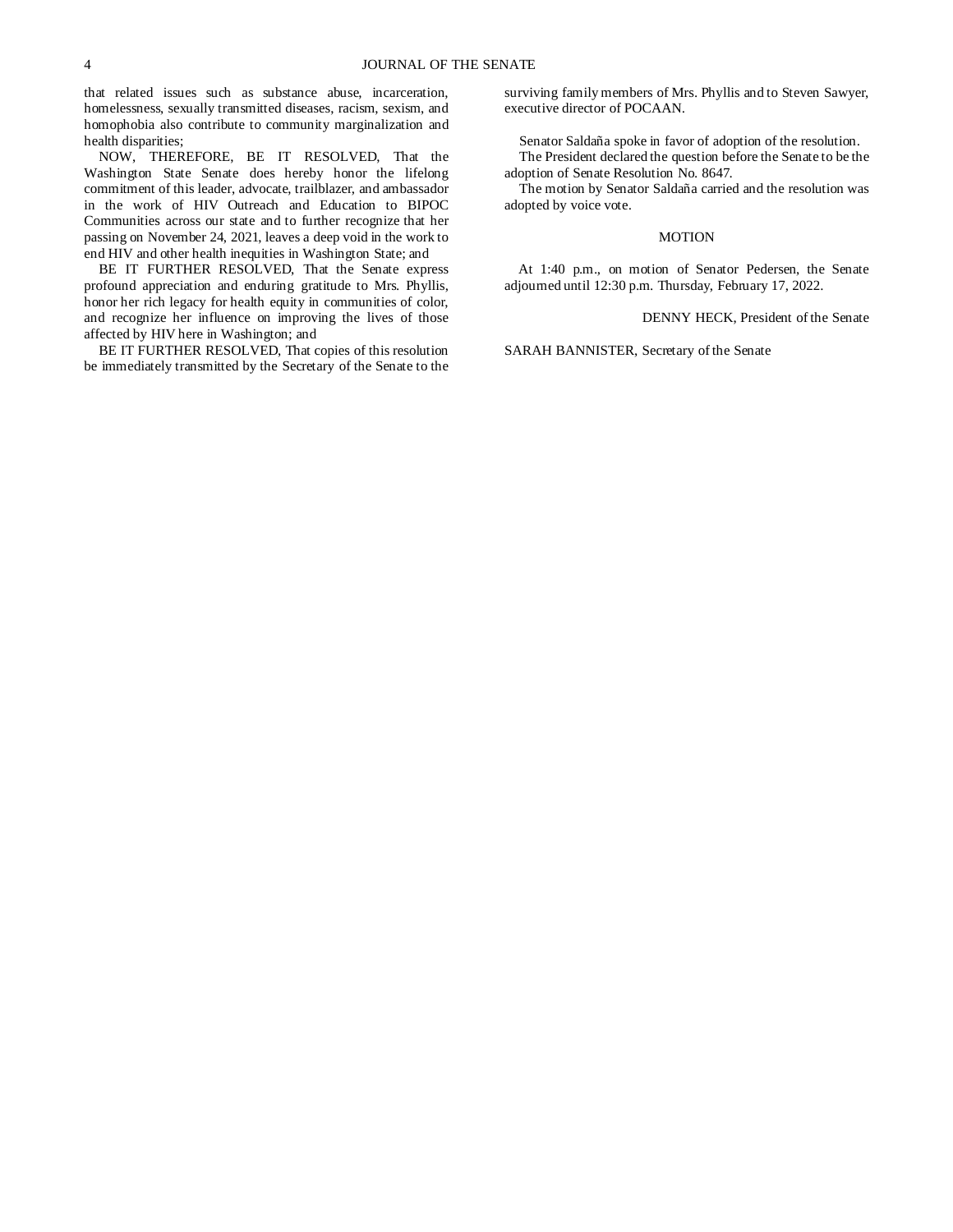that related issues such as substance abuse, incarceration, homelessness, sexually transmitted diseases, racism, sexism, and homophobia also contribute to community marginalization and health disparities;

NOW, THEREFORE, BE IT RESOLVED, That the Washington State Senate does hereby honor the lifelong commitment of this leader, advocate, trailblazer, and ambassador in the work of HIV Outreach and Education to BIPOC Communities across our state and to further recognize that her passing on November 24, 2021, leaves a deep void in the work to end HIV and other health inequities in Washington State; and

BE IT FURTHER RESOLVED, That the Senate express profound appreciation and enduring gratitude to Mrs. Phyllis, honor her rich legacy for health equity in communities of color, and recognize her influence on improving the lives of those affected by HIV here in Washington; and

BE IT FURTHER RESOLVED, That copies of this resolution be immediately transmitted by the Secretary of the Senate to the surviving family members of Mrs. Phyllis and to Steven Sawyer, executive director of POCAAN.

Senator Saldaña spoke in favor of adoption of the resolution. The President declared the question before the Senate to be the adoption of Senate Resolution No. 8647.

The motion by Senator Saldaña carried and the resolution was adopted by voice vote.

### MOTION

At 1:40 p.m., on motion of Senator Pedersen, the Senate adjourned until 12:30 p.m. Thursday, February 17, 2022.

# DENNY HECK, President of the Senate

SARAH BANNISTER, Secretary of the Senate